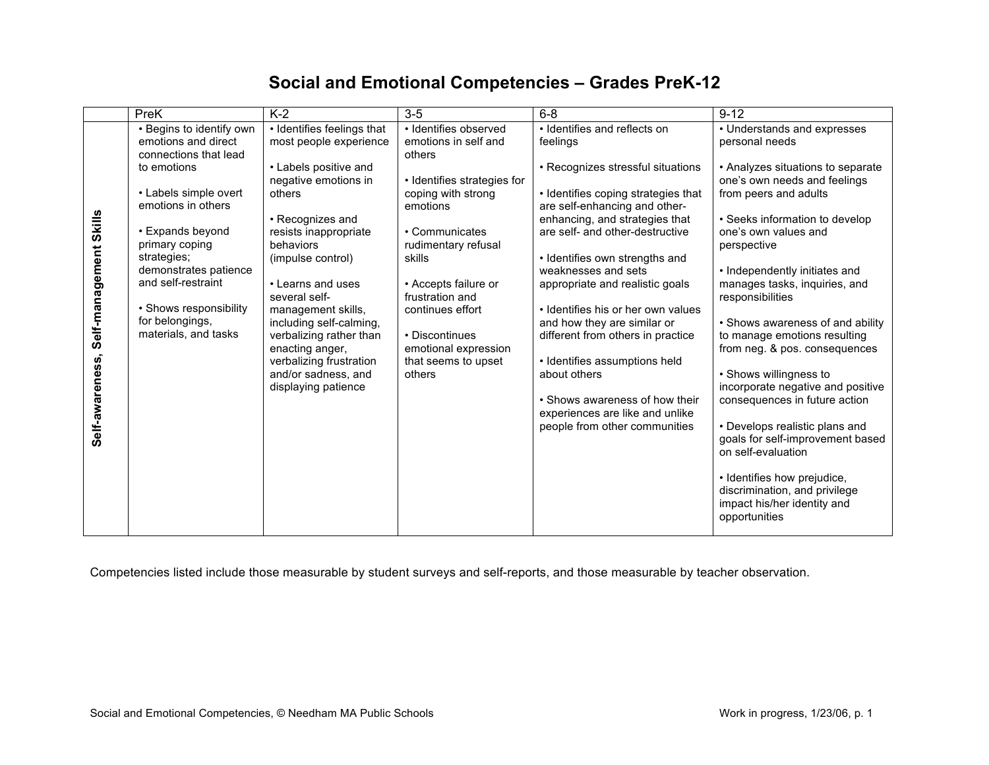## **Social and Emotional Competencies – Grades PreK-12**

|                 | PreK                                         | $K-2$                                              | $3-5$                                   | $6 - 8$                                                              | $9 - 12$                                                                                                     |
|-----------------|----------------------------------------------|----------------------------------------------------|-----------------------------------------|----------------------------------------------------------------------|--------------------------------------------------------------------------------------------------------------|
|                 | • Begins to identify own                     | • Identifies feelings that                         | · Identifies observed                   | • Identifies and reflects on                                         | • Understands and expresses                                                                                  |
| Skills          | emotions and direct<br>connections that lead | most people experience                             | emotions in self and<br>others          | feelings                                                             | personal needs                                                                                               |
|                 | to emotions                                  | • Labels positive and<br>negative emotions in      | • Identifies strategies for             | • Recognizes stressful situations                                    | • Analyzes situations to separate<br>one's own needs and feelings                                            |
|                 | • Labels simple overt<br>emotions in others  | others                                             | coping with strong<br>emotions          | • Identifies coping strategies that<br>are self-enhancing and other- | from peers and adults                                                                                        |
|                 |                                              | • Recognizes and                                   |                                         | enhancing, and strategies that                                       | • Seeks information to develop                                                                               |
|                 | • Expands beyond<br>primary coping           | resists inappropriate<br>behaviors                 | • Communicates<br>rudimentary refusal   | are self- and other-destructive                                      | one's own values and<br>perspective                                                                          |
|                 | strategies;                                  | (impulse control)                                  | skills                                  | • Identifies own strengths and                                       |                                                                                                              |
|                 | demonstrates patience<br>and self-restraint  | • Learns and uses                                  |                                         | weaknesses and sets                                                  | • Independently initiates and                                                                                |
| Self-management |                                              | several self-                                      | • Accepts failure or<br>frustration and | appropriate and realistic goals                                      | manages tasks, inquiries, and<br>responsibilities                                                            |
|                 | • Shows responsibility                       | management skills,                                 | continues effort                        | • Identifies his or her own values                                   |                                                                                                              |
|                 | for belongings,<br>materials, and tasks      | including self-calming,<br>verbalizing rather than | • Discontinues                          | and how they are similar or<br>different from others in practice     | • Shows awareness of and ability<br>to manage emotions resulting                                             |
|                 |                                              | enacting anger,                                    | emotional expression                    |                                                                      | from neg. & pos. consequences                                                                                |
|                 |                                              | verbalizing frustration                            | that seems to upset                     | · Identifies assumptions held                                        |                                                                                                              |
|                 |                                              | and/or sadness, and                                | others                                  | about others                                                         | • Shows willingness to<br>incorporate negative and positive                                                  |
| Self-awareness  |                                              | displaying patience                                |                                         | • Shows awareness of how their                                       | consequences in future action                                                                                |
|                 |                                              |                                                    |                                         | experiences are like and unlike<br>people from other communities     | • Develops realistic plans and                                                                               |
|                 |                                              |                                                    |                                         |                                                                      | goals for self-improvement based<br>on self-evaluation                                                       |
|                 |                                              |                                                    |                                         |                                                                      | • Identifies how prejudice,<br>discrimination, and privilege<br>impact his/her identity and<br>opportunities |

Competencies listed include those measurable by student surveys and self-reports, and those measurable by teacher observation.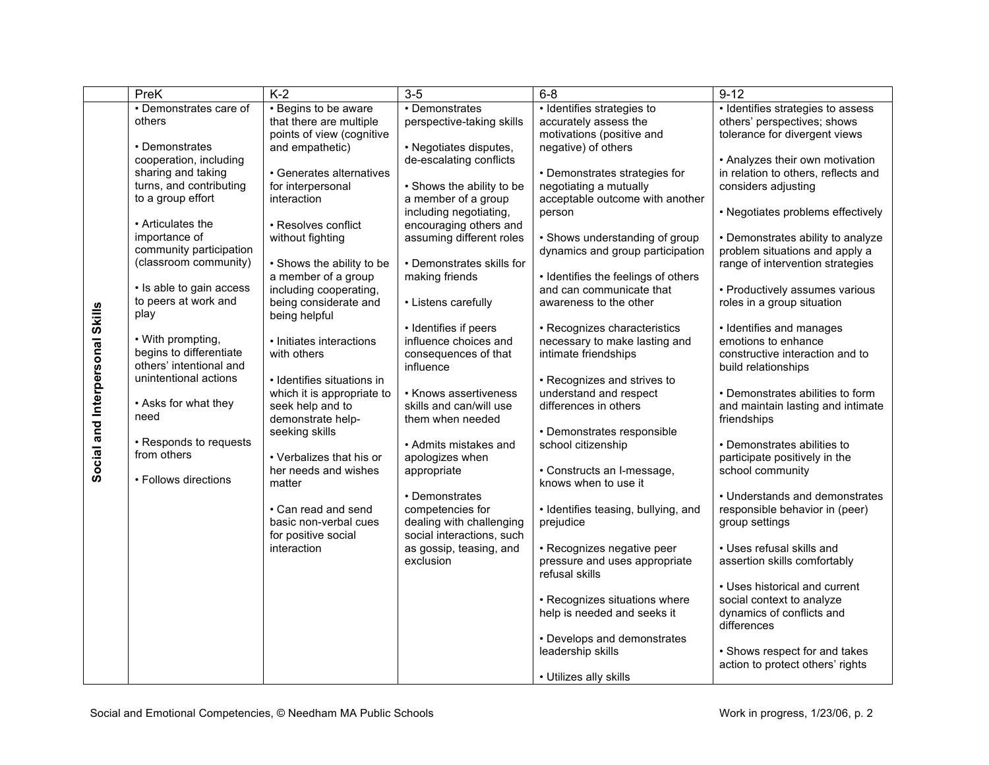|                                 | PreK                     | $K-2$                                            | $3-5$                                | $6 - 8$                                                         | $9 - 12$                            |
|---------------------------------|--------------------------|--------------------------------------------------|--------------------------------------|-----------------------------------------------------------------|-------------------------------------|
|                                 | • Demonstrates care of   | • Begins to be aware                             | • Demonstrates                       | · Identifies strategies to                                      | • Identifies strategies to assess   |
|                                 | others                   | that there are multiple                          | perspective-taking skills            | accurately assess the                                           | others' perspectives; shows         |
|                                 |                          | points of view (cognitive                        |                                      | motivations (positive and                                       | tolerance for divergent views       |
|                                 | • Demonstrates           | and empathetic)                                  | • Negotiates disputes,               | negative) of others                                             |                                     |
|                                 | cooperation, including   |                                                  | de-escalating conflicts              |                                                                 | • Analyzes their own motivation     |
|                                 | sharing and taking       | • Generates alternatives                         |                                      | • Demonstrates strategies for                                   | in relation to others, reflects and |
|                                 | turns, and contributing  | for interpersonal                                | • Shows the ability to be            | negotiating a mutually                                          | considers adjusting                 |
|                                 | to a group effort        | interaction                                      | a member of a group                  | acceptable outcome with another                                 |                                     |
|                                 |                          |                                                  | including negotiating,               | person                                                          | • Negotiates problems effectively   |
|                                 | • Articulates the        | • Resolves conflict                              | encouraging others and               |                                                                 |                                     |
|                                 | importance of            | without fighting                                 | assuming different roles             | • Shows understanding of group                                  | • Demonstrates ability to analyze   |
|                                 | community participation  |                                                  |                                      | dynamics and group participation                                | problem situations and apply a      |
|                                 | (classroom community)    | • Shows the ability to be<br>a member of a group | • Demonstrates skills for            |                                                                 | range of intervention strategies    |
|                                 | • Is able to gain access | including cooperating,                           | making friends                       | • Identifies the feelings of others<br>and can communicate that | • Productively assumes various      |
|                                 | to peers at work and     | being considerate and                            | • Listens carefully                  | awareness to the other                                          | roles in a group situation          |
|                                 | play                     | being helpful                                    |                                      |                                                                 |                                     |
|                                 |                          |                                                  | • Identifies if peers                | • Recognizes characteristics                                    | • Identifies and manages            |
|                                 | • With prompting,        | • Initiates interactions                         | influence choices and                | necessary to make lasting and                                   | emotions to enhance                 |
|                                 | begins to differentiate  | with others                                      | consequences of that                 | intimate friendships                                            | constructive interaction and to     |
|                                 | others' intentional and  |                                                  | influence                            |                                                                 | build relationships                 |
| Social and Interpersonal Skills | unintentional actions    | • Identifies situations in                       |                                      | • Recognizes and strives to                                     |                                     |
|                                 |                          | which it is appropriate to                       | • Knows assertiveness                | understand and respect                                          | • Demonstrates abilities to form    |
|                                 | • Asks for what they     | seek help and to                                 | skills and can/will use              | differences in others                                           | and maintain lasting and intimate   |
|                                 | need                     | demonstrate help-                                | them when needed                     |                                                                 | friendships                         |
|                                 |                          | seeking skills                                   |                                      | • Demonstrates responsible                                      |                                     |
|                                 | • Responds to requests   |                                                  | • Admits mistakes and                | school citizenship                                              | • Demonstrates abilities to         |
|                                 | from others              | • Verbalizes that his or                         | apologizes when                      |                                                                 | participate positively in the       |
|                                 | • Follows directions     | her needs and wishes                             | appropriate                          | • Constructs an I-message,                                      | school community                    |
|                                 |                          | matter                                           |                                      | knows when to use it                                            |                                     |
|                                 |                          |                                                  | • Demonstrates                       |                                                                 | • Understands and demonstrates      |
|                                 |                          | • Can read and send                              | competencies for                     | • Identifies teasing, bullying, and                             | responsible behavior in (peer)      |
|                                 |                          | basic non-verbal cues                            | dealing with challenging             | prejudice                                                       | group settings                      |
|                                 |                          | for positive social                              | social interactions, such            |                                                                 |                                     |
|                                 |                          | interaction                                      | as gossip, teasing, and<br>exclusion | • Recognizes negative peer<br>pressure and uses appropriate     | • Uses refusal skills and           |
|                                 |                          |                                                  |                                      | refusal skills                                                  | assertion skills comfortably        |
|                                 |                          |                                                  |                                      |                                                                 | • Uses historical and current       |
|                                 |                          |                                                  |                                      | • Recognizes situations where                                   | social context to analyze           |
|                                 |                          |                                                  |                                      | help is needed and seeks it                                     | dynamics of conflicts and           |
|                                 |                          |                                                  |                                      |                                                                 | differences                         |
|                                 |                          |                                                  |                                      | • Develops and demonstrates                                     |                                     |
|                                 |                          |                                                  |                                      | leadership skills                                               | • Shows respect for and takes       |
|                                 |                          |                                                  |                                      |                                                                 | action to protect others' rights    |
|                                 |                          |                                                  |                                      | • Utilizes ally skills                                          |                                     |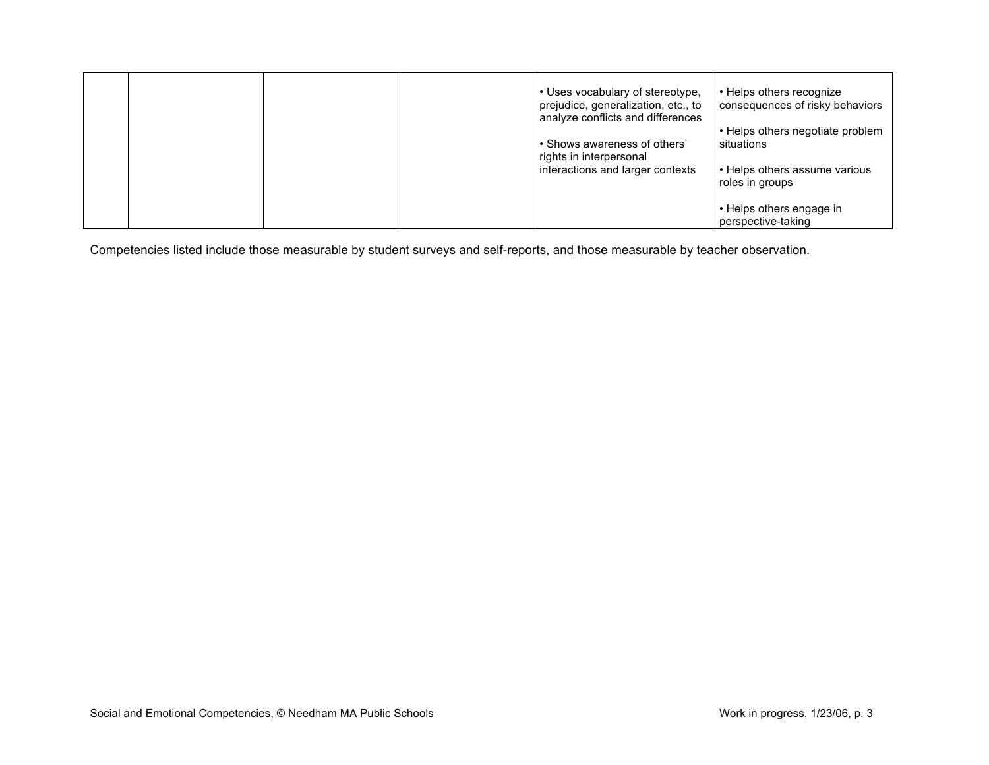|  |  | • Uses vocabulary of stereotype,<br>prejudice, generalization, etc., to<br>analyze conflicts and differences | • Helps others recognize<br>consequences of risky behaviors                     |
|--|--|--------------------------------------------------------------------------------------------------------------|---------------------------------------------------------------------------------|
|  |  | • Shows awareness of others'<br>rights in interpersonal<br>interactions and larger contexts                  | • Helps others negotiate problem<br>situations<br>• Helps others assume various |
|  |  |                                                                                                              | roles in groups<br>• Helps others engage in<br>perspective-taking               |

Competencies listed include those measurable by student surveys and self-reports, and those measurable by teacher observation.